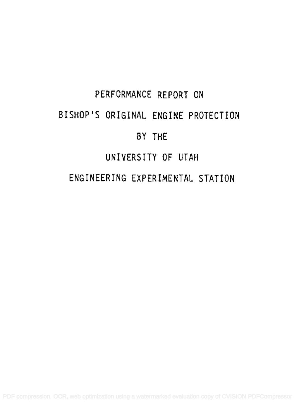# PERFORMANCE REPORT ON BISHOP'S ORIGINAL ENGINE PROTECTION BY THE UNIVERSITY OF UTAH ENGINEERING EXPERIMENTAL STATION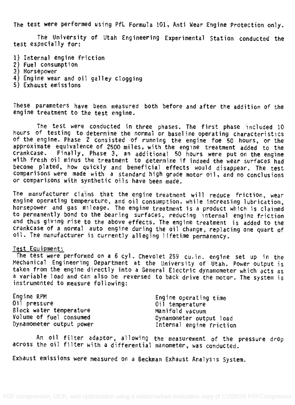The test were performed using PfL Formula 101, Anti Wear Engine Protection only.

The University of Utah Engineering Experimental Station conducted the test especially for:

1) Internal engine friction

- 2) Fuel consumption
- 3) Horsepower
- 4) Engine wear and oil galley clogging
- 5) Exhaust emissions

These parameters have been measured both before and after the addition of the engine treatment to the test engine.

The test were conducted in three phases. The first phase included 10<br>hours of testing to determine the normal or baseline operating characteristics of the engine. Phase 2 consisted of running the engine foe 50 hours, or the approximate equivalence of 2500 miles, with the engine treatment added to the<br>crankcase. Finally, Phase 3, an additional 50 hours were put on the engine with fresh oil minus the treatment to determine if indeed the wear surfaces had become plated, how quickly and beneficial effects would disappear. The test comparisons were made with <sup>a</sup> standard high grade motor oil, and no conclusions or comparisons with synthetic oils have been made.

The manufacturer claims that the engine treatment will reduce friction, wear<br>engine operating temperature, and oil consumption, while increasing lubrication,<br>horsepower and gas mileage. The engine treatment is a product wh to permanently bond to the bearing surfaces, reducing internal engine friction and thus giving rise to the above effects. The engine treatment is added to the crankcase of a normal auto engine during the oil change, replacing one quart of<br>oil. The manufacturer is currently alleging lifetime permanency.

#### Test Equipment:

The test were performed on <sup>a</sup> 6 cyl. Chevolet 259 cu.in. engine set up in the Mechanical Engineering Department at the University of Utah. Power output is<br>taken from the engine directly into a General Electric dynamometer which acts as a variable load and can also be reversed to back drive the motor. The system is instrumented to measure following:

| Engine RPM               | Engine operating time    |  |
|--------------------------|--------------------------|--|
| Oil pressure             | Oil temperature          |  |
| Block water temperature  | Manifold vacuum          |  |
| Volume of fuel consumed  | Dynamometer output load  |  |
| Dynamometer output power | Internal engine friction |  |

An oil filter adaptor, allowing the measurement of the pressure drop across the oil filter with a differential manometer, was conducted.

Exhaust emissions were measured on a Beckman Exhaust Analysis System.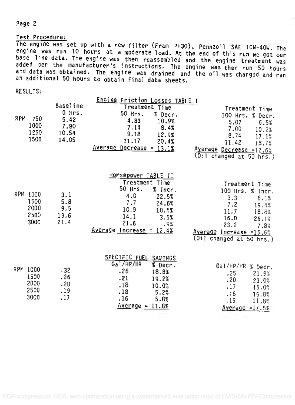#### Page 2

#### Test Procedure:

The engine was set up with a new filter (Fram PH30), Pennzoil SAE 10W-40W. The engine was run 10 hours at a moderate load. At the end of this run we got our base line data. The engine was then reassembled and the engine treatment was added per the manufacturer's instructions. The engine was then run 50 hours and data was obtained. The engine was drained and the oil was changed and ran an additional 50 hours to obtain final data sheets.

RESULTS:

| RPM | 750<br>1000<br>1250<br>1500              | <b>Baseline</b><br>$0$ Hrs.<br>5.42<br>7.80<br>10.54<br>14.05 | Engine Friction Losses TABLE I<br>Treatment Time<br>50 Hrs.<br>% Decr.<br>4.83<br>10.9%<br>7.14<br>8.4%<br>9.18<br>12.9%<br>11.17<br>20.4%<br>$Average$ Decrease = 13.1%         | Treatment Time<br>100 Hrs. % Decr.<br>5.07<br>6.5%<br>7.00<br>10.2%<br>8.74<br>17.1%<br>11.42<br>18.7%<br>Average Decrease =12.6%<br>$(011$ changed at 50 hrs.)            |
|-----|------------------------------------------|---------------------------------------------------------------|----------------------------------------------------------------------------------------------------------------------------------------------------------------------------------|----------------------------------------------------------------------------------------------------------------------------------------------------------------------------|
|     | RPM 1000<br>1500<br>2000<br>2500<br>3000 | 3.1<br>5.8<br>9.5<br>13.6<br>21.4                             | <u>Horsepower TABLE II</u><br>Treatment Time<br>50 Hrs.<br>$%$ Incr.<br>4.0<br>22.5%<br>7.7<br>24.6%<br>10.9<br>10.5%<br>14.1<br>3.5%<br>21.6<br>.9%<br>Average Increase = 12.4% | Treatment Time<br>100 Hrs. % Incr.<br>3.3<br>6.1%<br>7.2<br>19.4%<br>11.7<br>18.8%<br>16.0<br>26.1%<br>23.2<br>7.8%<br>Average Increase =15.6%<br>(Oil changed at 50 hrs.) |
|     | RPM 1000<br>1500<br>2000<br>2500<br>3000 | .32<br>.26<br>.20<br>.19<br>.17                               | SPECIFIC FUEL SAVINGS<br>Gal/HP/HR<br>% Decr.<br>.26<br>18.8%<br>.21<br>19.2%<br>.18<br>10.0%<br>.18<br>5.2%<br>. 16<br>5.8%<br>$Average = 11.8%$                                | Gal/HP/HR % Decr.<br>.25<br>21.9%<br>،20<br>23.0%<br>.17<br>15.0%<br>. 16<br>15.8%<br>. 15<br>11.8%<br>Average $=17.5%$                                                    |

 $\mathcal{L}(\mathcal{L})$  and  $\mathcal{L}(\mathcal{L})$  . The set of  $\mathcal{L}(\mathcal{L})$